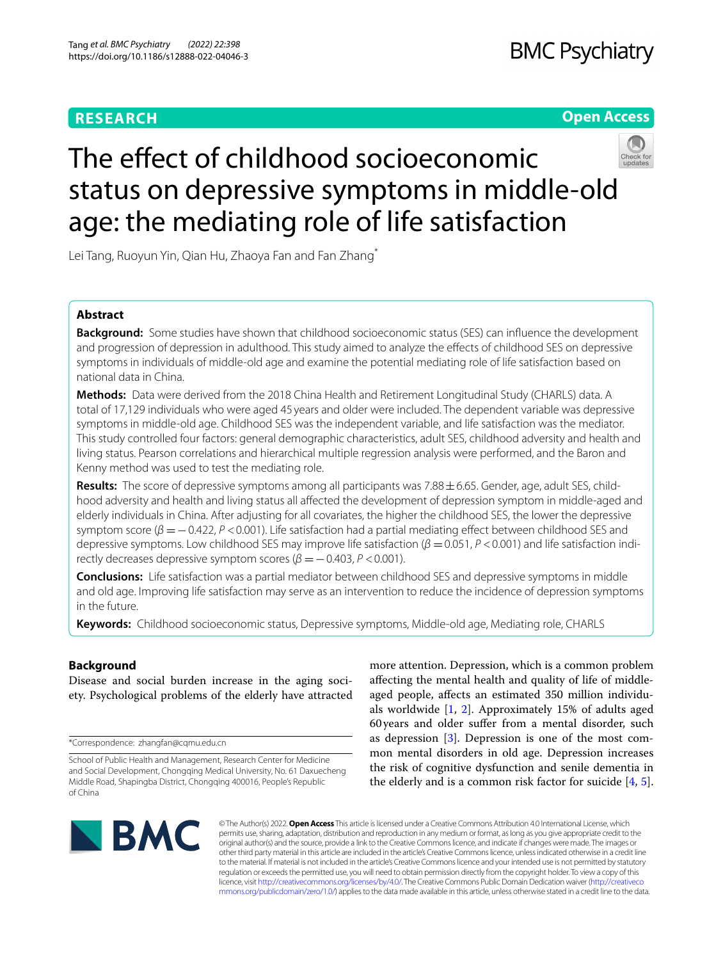# **RESEARCH**

# **BMC Psychiatry**

# **Open Access**



# The effect of childhood socioeconomic status on depressive symptoms in middle-old age: the mediating role of life satisfaction

Lei Tang, Ruoyun Yin, Qian Hu, Zhaoya Fan and Fan Zhang<sup>\*</sup>

# **Abstract**

**Background:** Some studies have shown that childhood socioeconomic status (SES) can infuence the development and progression of depression in adulthood. This study aimed to analyze the efects of childhood SES on depressive symptoms in individuals of middle-old age and examine the potential mediating role of life satisfaction based on national data in China.

**Methods:** Data were derived from the 2018 China Health and Retirement Longitudinal Study (CHARLS) data. A total of 17,129 individuals who were aged 45 years and older were included. The dependent variable was depressive symptoms in middle-old age. Childhood SES was the independent variable, and life satisfaction was the mediator. This study controlled four factors: general demographic characteristics, adult SES, childhood adversity and health and living status. Pearson correlations and hierarchical multiple regression analysis were performed, and the Baron and Kenny method was used to test the mediating role.

**Results:** The score of depressive symptoms among all participants was 7.88±6.65. Gender, age, adult SES, childhood adversity and health and living status all afected the development of depression symptom in middle-aged and elderly individuals in China. After adjusting for all covariates, the higher the childhood SES, the lower the depressive symptom score ( $\beta$  = -0.422, *P* <0.001). Life satisfaction had a partial mediating effect between childhood SES and depressive symptoms. Low childhood SES may improve life satisfaction (β = 0.051, P < 0.001) and life satisfaction indirectly decreases depressive symptom scores  $(\beta = -0.403, P < 0.001)$ .

**Conclusions:** Life satisfaction was a partial mediator between childhood SES and depressive symptoms in middle and old age. Improving life satisfaction may serve as an intervention to reduce the incidence of depression symptoms in the future.

**Keywords:** Childhood socioeconomic status, Depressive symptoms, Middle-old age, Mediating role, CHARLS

# **Background**

Disease and social burden increase in the aging society. Psychological problems of the elderly have attracted

\*Correspondence: zhangfan@cqmu.edu.cn

more attention. Depression, which is a common problem afecting the mental health and quality of life of middleaged people, afects an estimated 350 million individuals worldwide [\[1](#page-8-0), [2](#page-8-1)]. Approximately 15% of adults aged 60years and older sufer from a mental disorder, such as depression [[3\]](#page-8-2). Depression is one of the most common mental disorders in old age. Depression increases the risk of cognitive dysfunction and senile dementia in the elderly and is a common risk factor for suicide [\[4](#page-8-3), [5](#page-8-4)].



© The Author(s) 2022. **Open Access** This article is licensed under a Creative Commons Attribution 4.0 International License, which permits use, sharing, adaptation, distribution and reproduction in any medium or format, as long as you give appropriate credit to the original author(s) and the source, provide a link to the Creative Commons licence, and indicate if changes were made. The images or other third party material in this article are included in the article's Creative Commons licence, unless indicated otherwise in a credit line to the material. If material is not included in the article's Creative Commons licence and your intended use is not permitted by statutory regulation or exceeds the permitted use, you will need to obtain permission directly from the copyright holder. To view a copy of this licence, visit [http://creativecommons.org/licenses/by/4.0/.](http://creativecommons.org/licenses/by/4.0/) The Creative Commons Public Domain Dedication waiver ([http://creativeco](http://creativecommons.org/publicdomain/zero/1.0/) [mmons.org/publicdomain/zero/1.0/](http://creativecommons.org/publicdomain/zero/1.0/)) applies to the data made available in this article, unless otherwise stated in a credit line to the data.

School of Public Health and Management, Research Center for Medicine and Social Development, Chongqing Medical University, No. 61 Daxuecheng Middle Road, Shapingba District, Chongqing 400016, People's Republic of China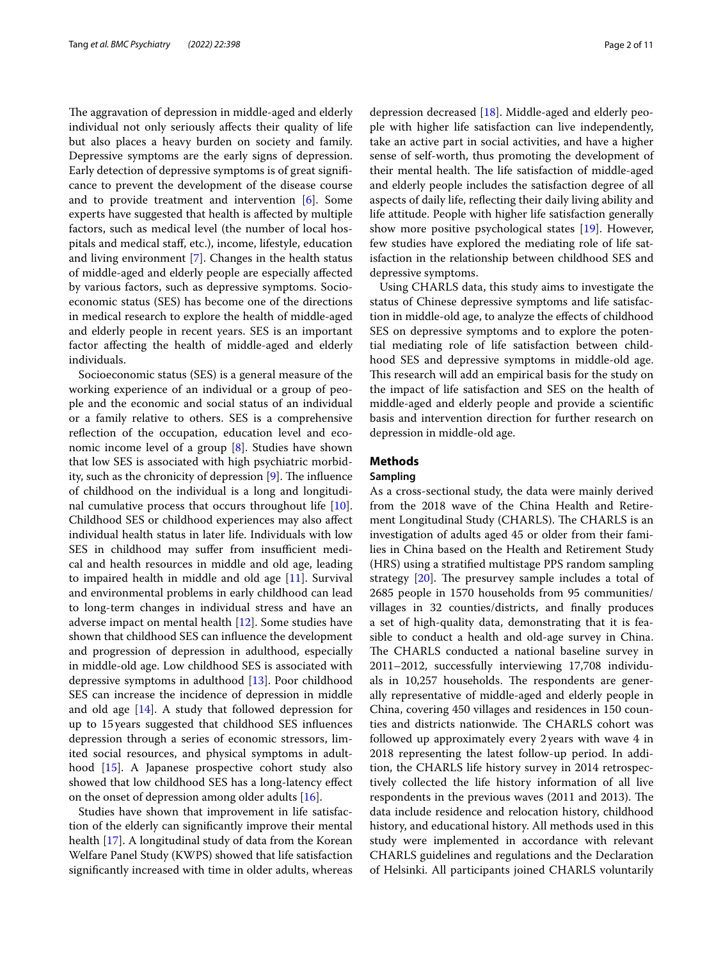The aggravation of depression in middle-aged and elderly individual not only seriously afects their quality of life but also places a heavy burden on society and family. Depressive symptoms are the early signs of depression. Early detection of depressive symptoms is of great signifcance to prevent the development of the disease course and to provide treatment and intervention [\[6\]](#page-8-5). Some experts have suggested that health is afected by multiple factors, such as medical level (the number of local hospitals and medical staf, etc.), income, lifestyle, education and living environment [\[7](#page-8-6)]. Changes in the health status of middle-aged and elderly people are especially afected by various factors, such as depressive symptoms. Socioeconomic status (SES) has become one of the directions in medical research to explore the health of middle-aged and elderly people in recent years. SES is an important factor afecting the health of middle-aged and elderly individuals.

Socioeconomic status (SES) is a general measure of the working experience of an individual or a group of people and the economic and social status of an individual or a family relative to others. SES is a comprehensive reflection of the occupation, education level and economic income level of a group [[8\]](#page-8-7). Studies have shown that low SES is associated with high psychiatric morbidity, such as the chronicity of depression  $[9]$  $[9]$  $[9]$ . The influence of childhood on the individual is a long and longitudinal cumulative process that occurs throughout life [\[10](#page-8-9)]. Childhood SES or childhood experiences may also afect individual health status in later life. Individuals with low SES in childhood may suffer from insufficient medical and health resources in middle and old age, leading to impaired health in middle and old age [\[11](#page-8-10)]. Survival and environmental problems in early childhood can lead to long-term changes in individual stress and have an adverse impact on mental health [[12\]](#page-8-11). Some studies have shown that childhood SES can infuence the development and progression of depression in adulthood, especially in middle-old age. Low childhood SES is associated with depressive symptoms in adulthood [[13\]](#page-8-12). Poor childhood SES can increase the incidence of depression in middle and old age  $[14]$ . A study that followed depression for up to 15years suggested that childhood SES infuences depression through a series of economic stressors, limited social resources, and physical symptoms in adulthood [[15\]](#page-8-14). A Japanese prospective cohort study also showed that low childhood SES has a long-latency efect on the onset of depression among older adults [\[16](#page-8-15)].

Studies have shown that improvement in life satisfaction of the elderly can signifcantly improve their mental health [[17\]](#page-8-16). A longitudinal study of data from the Korean Welfare Panel Study (KWPS) showed that life satisfaction signifcantly increased with time in older adults, whereas depression decreased [[18](#page-9-0)]. Middle-aged and elderly people with higher life satisfaction can live independently, take an active part in social activities, and have a higher sense of self-worth, thus promoting the development of their mental health. The life satisfaction of middle-aged and elderly people includes the satisfaction degree of all aspects of daily life, refecting their daily living ability and life attitude. People with higher life satisfaction generally show more positive psychological states [[19\]](#page-9-1). However, few studies have explored the mediating role of life satisfaction in the relationship between childhood SES and depressive symptoms.

Using CHARLS data, this study aims to investigate the status of Chinese depressive symptoms and life satisfaction in middle-old age, to analyze the efects of childhood SES on depressive symptoms and to explore the potential mediating role of life satisfaction between childhood SES and depressive symptoms in middle-old age. This research will add an empirical basis for the study on the impact of life satisfaction and SES on the health of middle-aged and elderly people and provide a scientifc basis and intervention direction for further research on depression in middle-old age.

# **Methods**

# **Sampling**

As a cross-sectional study, the data were mainly derived from the 2018 wave of the China Health and Retirement Longitudinal Study (CHARLS). The CHARLS is an investigation of adults aged 45 or older from their families in China based on the Health and Retirement Study (HRS) using a stratifed multistage PPS random sampling strategy  $[20]$  $[20]$ . The presurvey sample includes a total of 2685 people in 1570 households from 95 communities/ villages in 32 counties/districts, and fnally produces a set of high-quality data, demonstrating that it is feasible to conduct a health and old-age survey in China. The CHARLS conducted a national baseline survey in 2011–2012, successfully interviewing 17,708 individuals in 10,257 households. The respondents are generally representative of middle-aged and elderly people in China, covering 450 villages and residences in 150 counties and districts nationwide. The CHARLS cohort was followed up approximately every 2years with wave 4 in 2018 representing the latest follow-up period. In addition, the CHARLS life history survey in 2014 retrospectively collected the life history information of all live respondents in the previous waves (2011 and 2013). The data include residence and relocation history, childhood history, and educational history. All methods used in this study were implemented in accordance with relevant CHARLS guidelines and regulations and the Declaration of Helsinki. All participants joined CHARLS voluntarily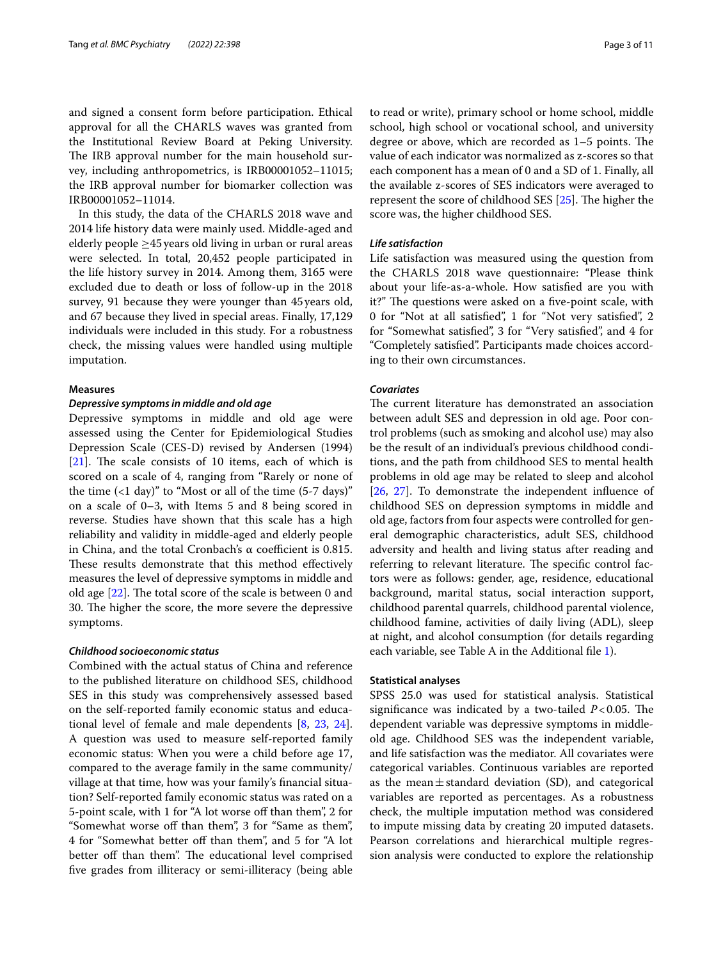and signed a consent form before participation. Ethical approval for all the CHARLS waves was granted from the Institutional Review Board at Peking University. The IRB approval number for the main household survey, including anthropometrics, is IRB00001052–11015; the IRB approval number for biomarker collection was IRB00001052–11014.

In this study, the data of the CHARLS 2018 wave and 2014 life history data were mainly used. Middle-aged and elderly people ≥45years old living in urban or rural areas were selected. In total, 20,452 people participated in the life history survey in 2014. Among them, 3165 were excluded due to death or loss of follow-up in the 2018 survey, 91 because they were younger than 45years old, and 67 because they lived in special areas. Finally, 17,129 individuals were included in this study. For a robustness check, the missing values were handled using multiple imputation.

#### **Measures**

# *Depressive symptoms in middle and old age*

Depressive symptoms in middle and old age were assessed using the Center for Epidemiological Studies Depression Scale (CES-D) revised by Andersen (1994)  $[21]$  $[21]$ . The scale consists of 10 items, each of which is scored on a scale of 4, ranging from "Rarely or none of the time  $(1 day)$ " to "Most or all of the time  $(5-7 days)$ " on a scale of 0–3, with Items 5 and 8 being scored in reverse. Studies have shown that this scale has a high reliability and validity in middle-aged and elderly people in China, and the total Cronbach's  $\alpha$  coefficient is 0.815. These results demonstrate that this method effectively measures the level of depressive symptoms in middle and old age  $[22]$  $[22]$ . The total score of the scale is between 0 and 30. The higher the score, the more severe the depressive symptoms.

# *Childhood socioeconomic status*

Combined with the actual status of China and reference to the published literature on childhood SES, childhood SES in this study was comprehensively assessed based on the self-reported family economic status and educational level of female and male dependents [[8,](#page-8-7) [23,](#page-9-5) [24](#page-9-6)]. A question was used to measure self-reported family economic status: When you were a child before age 17, compared to the average family in the same community/ village at that time, how was your family's fnancial situation? Self-reported family economic status was rated on a 5-point scale, with 1 for "A lot worse of than them", 2 for "Somewhat worse off than them", 3 for "Same as them", 4 for "Somewhat better of than them", and 5 for "A lot better off than them". The educational level comprised fve grades from illiteracy or semi-illiteracy (being able to read or write), primary school or home school, middle school, high school or vocational school, and university degree or above, which are recorded as  $1-5$  points. The value of each indicator was normalized as z-scores so that each component has a mean of 0 and a SD of 1. Finally, all the available z-scores of SES indicators were averaged to represent the score of childhood SES  $[25]$ . The higher the score was, the higher childhood SES.

# *Life satisfaction*

Life satisfaction was measured using the question from the CHARLS 2018 wave questionnaire: "Please think about your life-as-a-whole. How satisfed are you with it?" The questions were asked on a five-point scale, with 0 for "Not at all satisfed", 1 for "Not very satisfed", 2 for "Somewhat satisfed", 3 for "Very satisfed", and 4 for "Completely satisfed". Participants made choices according to their own circumstances.

#### *Covariates*

The current literature has demonstrated an association between adult SES and depression in old age. Poor control problems (such as smoking and alcohol use) may also be the result of an individual's previous childhood conditions, and the path from childhood SES to mental health problems in old age may be related to sleep and alcohol [[26,](#page-9-8) [27](#page-9-9)]. To demonstrate the independent infuence of childhood SES on depression symptoms in middle and old age, factors from four aspects were controlled for general demographic characteristics, adult SES, childhood adversity and health and living status after reading and referring to relevant literature. The specific control factors were as follows: gender, age, residence, educational background, marital status, social interaction support, childhood parental quarrels, childhood parental violence, childhood famine, activities of daily living (ADL), sleep at night, and alcohol consumption (for details regarding each variable, see Table A in the Additional fle [1\)](#page-8-17).

#### **Statistical analyses**

SPSS 25.0 was used for statistical analysis. Statistical significance was indicated by a two-tailed  $P < 0.05$ . The dependent variable was depressive symptoms in middleold age. Childhood SES was the independent variable, and life satisfaction was the mediator. All covariates were categorical variables. Continuous variables are reported as the mean $\pm$ standard deviation (SD), and categorical variables are reported as percentages. As a robustness check, the multiple imputation method was considered to impute missing data by creating 20 imputed datasets. Pearson correlations and hierarchical multiple regression analysis were conducted to explore the relationship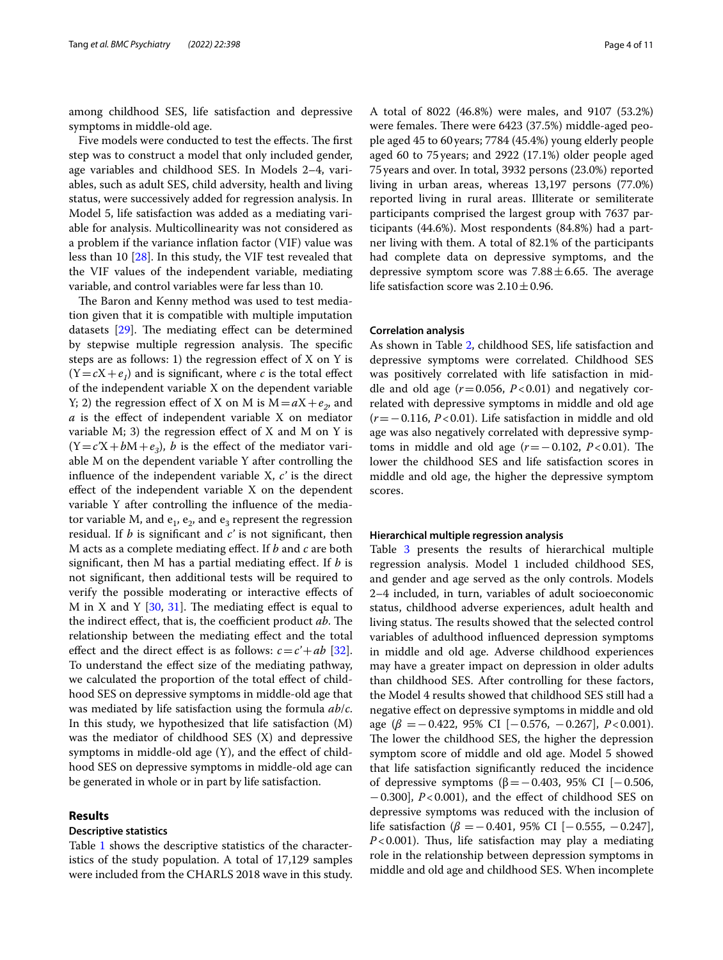among childhood SES, life satisfaction and depressive symptoms in middle-old age.

Five models were conducted to test the effects. The first step was to construct a model that only included gender, age variables and childhood SES. In Models 2–4, variables, such as adult SES, child adversity, health and living status, were successively added for regression analysis. In Model 5, life satisfaction was added as a mediating variable for analysis. Multicollinearity was not considered as a problem if the variance infation factor (VIF) value was less than 10 [\[28](#page-9-10)]. In this study, the VIF test revealed that the VIF values of the independent variable, mediating variable, and control variables were far less than 10.

The Baron and Kenny method was used to test mediation given that it is compatible with multiple imputation datasets  $[29]$  $[29]$  $[29]$ . The mediating effect can be determined by stepwise multiple regression analysis. The specific steps are as follows: 1) the regression effect of  $X$  on  $Y$  is  $(Y = cX + e_1)$  and is significant, where *c* is the total effect of the independent variable X on the dependent variable Y; 2) the regression effect of X on M is  $M = aX + e_2$ , and *a* is the efect of independent variable X on mediator variable  $M$ ; 3) the regression effect of  $X$  and  $M$  on  $Y$  is  $(Y=c'X+bM+e_3)$ , *b* is the effect of the mediator variable M on the dependent variable Y after controlling the infuence of the independent variable X, *c'* is the direct efect of the independent variable X on the dependent variable Y after controlling the infuence of the mediator variable M, and  $e_1$ ,  $e_2$ , and  $e_3$  represent the regression residual. If *b* is signifcant and *c'* is not signifcant, then M acts as a complete mediating efect. If *b* and *c* are both signifcant, then M has a partial mediating efect. If *b* is not signifcant, then additional tests will be required to verify the possible moderating or interactive efects of M in X and Y  $[30, 31]$  $[30, 31]$  $[30, 31]$  $[30, 31]$  $[30, 31]$ . The mediating effect is equal to the indirect effect, that is, the coefficient product *ab*. The relationship between the mediating efect and the total effect and the direct effect is as follows:  $c = c' + ab$  [\[32](#page-9-14)]. To understand the efect size of the mediating pathway, we calculated the proportion of the total efect of childhood SES on depressive symptoms in middle-old age that was mediated by life satisfaction using the formula *ab*/*c*. In this study, we hypothesized that life satisfaction (M) was the mediator of childhood SES (X) and depressive symptoms in middle-old age (Y), and the efect of childhood SES on depressive symptoms in middle-old age can be generated in whole or in part by life satisfaction.

# **Results**

## **Descriptive statistics**

Table [1](#page-4-0) shows the descriptive statistics of the characteristics of the study population. A total of 17,129 samples were included from the CHARLS 2018 wave in this study.

A total of 8022 (46.8%) were males, and 9107 (53.2%) were females. There were 6423 (37.5%) middle-aged people aged 45 to 60years; 7784 (45.4%) young elderly people aged 60 to 75 years; and 2922 (17.1%) older people aged 75years and over. In total, 3932 persons (23.0%) reported living in urban areas, whereas 13,197 persons (77.0%) reported living in rural areas. Illiterate or semiliterate participants comprised the largest group with 7637 participants (44.6%). Most respondents (84.8%) had a partner living with them. A total of 82.1% of the participants had complete data on depressive symptoms, and the depressive symptom score was  $7.88 \pm 6.65$ . The average life satisfaction score was  $2.10 \pm 0.96$ .

## **Correlation analysis**

As shown in Table [2,](#page-4-1) childhood SES, life satisfaction and depressive symptoms were correlated. Childhood SES was positively correlated with life satisfaction in middle and old age  $(r=0.056, P<0.01)$  and negatively correlated with depressive symptoms in middle and old age (*r*=−0.116, *P*<0.01). Life satisfaction in middle and old age was also negatively correlated with depressive symptoms in middle and old age  $(r=-0.102, P<0.01)$ . The lower the childhood SES and life satisfaction scores in middle and old age, the higher the depressive symptom scores.

# **Hierarchical multiple regression analysis**

Table [3](#page-5-0) presents the results of hierarchical multiple regression analysis. Model 1 included childhood SES, and gender and age served as the only controls. Models 2–4 included, in turn, variables of adult socioeconomic status, childhood adverse experiences, adult health and living status. The results showed that the selected control variables of adulthood infuenced depression symptoms in middle and old age. Adverse childhood experiences may have a greater impact on depression in older adults than childhood SES. After controlling for these factors, the Model 4 results showed that childhood SES still had a negative efect on depressive symptoms in middle and old age (*β* =−0.422, 95% CI [−0.576, −0.267], *P*<0.001). The lower the childhood SES, the higher the depression symptom score of middle and old age. Model 5 showed that life satisfaction signifcantly reduced the incidence of depressive symptoms ( $\beta$ =−0.403, 95% CI [−0.506, −0.300], *P*<0.001), and the efect of childhood SES on depressive symptoms was reduced with the inclusion of life satisfaction (*β* =−0.401, 95% CI [−0.555, −0.247],  $P < 0.001$ ). Thus, life satisfaction may play a mediating role in the relationship between depression symptoms in middle and old age and childhood SES. When incomplete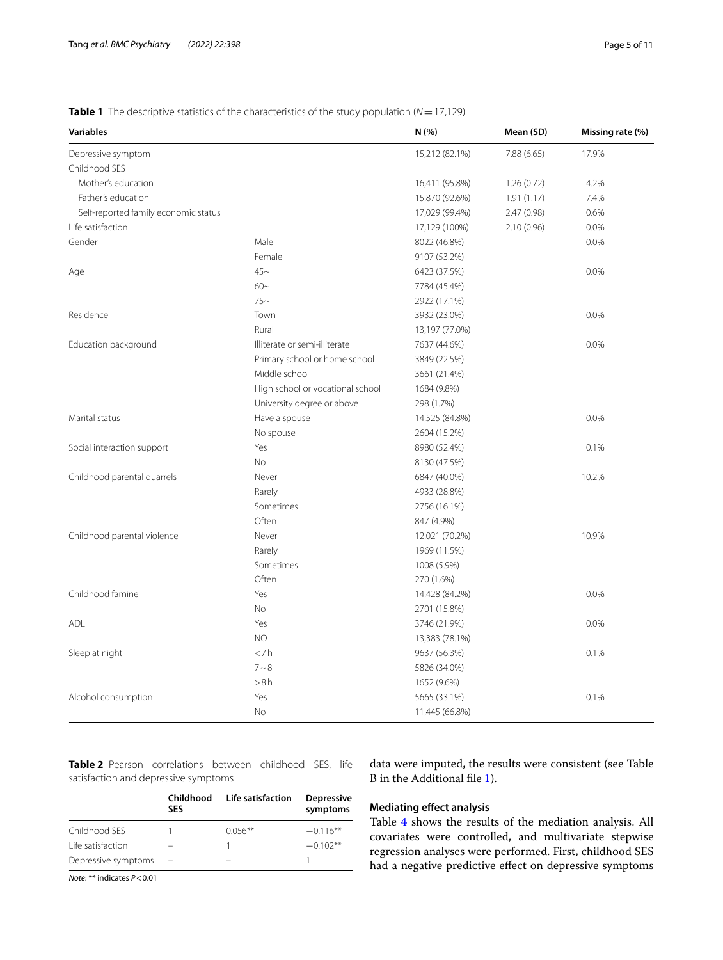# <span id="page-4-0"></span>**Table 1** The descriptive statistics of the characteristics of the study population (*N*=17,129)

| <b>Variables</b>                     |                                  | N(% )          | Mean (SD)  | Missing rate (%) |
|--------------------------------------|----------------------------------|----------------|------------|------------------|
| Depressive symptom                   |                                  | 15,212 (82.1%) | 7.88(6.65) | 17.9%            |
| Childhood SES                        |                                  |                |            |                  |
| Mother's education                   |                                  | 16,411 (95.8%) | 1.26(0.72) | 4.2%             |
| Father's education                   |                                  | 15,870 (92.6%) | 1.91(1.17) | 7.4%             |
| Self-reported family economic status |                                  | 17,029 (99.4%) | 2.47(0.98) | 0.6%             |
| Life satisfaction                    |                                  | 17,129 (100%)  | 2.10(0.96) | 0.0%             |
| Gender                               | Male                             | 8022 (46.8%)   |            | 0.0%             |
|                                      | Female                           | 9107 (53.2%)   |            |                  |
| Age                                  | $45-$                            | 6423 (37.5%)   |            | 0.0%             |
|                                      | $60-$                            | 7784 (45.4%)   |            |                  |
|                                      | $75-$                            | 2922 (17.1%)   |            |                  |
| Residence                            | Town                             | 3932 (23.0%)   |            | 0.0%             |
|                                      | Rural                            | 13,197 (77.0%) |            |                  |
| Education background                 | Illiterate or semi-illiterate    | 7637 (44.6%)   |            | 0.0%             |
|                                      | Primary school or home school    | 3849 (22.5%)   |            |                  |
|                                      | Middle school                    | 3661 (21.4%)   |            |                  |
|                                      | High school or vocational school | 1684 (9.8%)    |            |                  |
|                                      | University degree or above       | 298 (1.7%)     |            |                  |
| Marital status                       | Have a spouse                    | 14,525 (84.8%) |            | 0.0%             |
|                                      | No spouse                        | 2604 (15.2%)   |            |                  |
| Social interaction support           | Yes                              | 8980 (52.4%)   |            | 0.1%             |
|                                      | <b>No</b>                        | 8130 (47.5%)   |            |                  |
| Childhood parental quarrels          | Never                            | 6847 (40.0%)   |            | 10.2%            |
|                                      | Rarely                           | 4933 (28.8%)   |            |                  |
|                                      | Sometimes                        | 2756 (16.1%)   |            |                  |
|                                      | Often                            | 847 (4.9%)     |            |                  |
| Childhood parental violence          | Never                            | 12,021 (70.2%) |            | 10.9%            |
|                                      | Rarely                           | 1969 (11.5%)   |            |                  |
|                                      | Sometimes                        | 1008 (5.9%)    |            |                  |
|                                      | Often                            | 270 (1.6%)     |            |                  |
| Childhood famine                     | Yes                              | 14,428 (84.2%) |            | 0.0%             |
|                                      | No                               | 2701 (15.8%)   |            |                  |
| <b>ADL</b>                           | Yes                              | 3746 (21.9%)   |            | 0.0%             |
|                                      | NO                               | 13,383 (78.1%) |            |                  |
| Sleep at night                       | $<$ 7h                           | 9637 (56.3%)   |            | 0.1%             |
|                                      | $7 - 8$                          | 5826 (34.0%)   |            |                  |
|                                      | > 8 h                            | 1652 (9.6%)    |            |                  |
| Alcohol consumption                  | Yes                              | 5665 (33.1%)   |            | 0.1%             |
|                                      | No                               | 11,445 (66.8%) |            |                  |

<span id="page-4-1"></span>**Table 2** Pearson correlations between childhood SES, life satisfaction and depressive symptoms

|                     | Childhood<br><b>SES</b> | Life satisfaction | <b>Depressive</b><br>symptoms |  |
|---------------------|-------------------------|-------------------|-------------------------------|--|
| Childhood SES       |                         | $0.056***$        | $-0.116**$                    |  |
| Life satisfaction   |                         |                   | $-0.102**$                    |  |
| Depressive symptoms |                         |                   |                               |  |
|                     |                         |                   |                               |  |

*Note*: \*\* indicates *P*<0.01

data were imputed, the results were consistent (see Table B in the Additional fle [1](#page-8-17)).

# **Mediating efect analysis**

Table [4](#page-6-0) shows the results of the mediation analysis. All covariates were controlled, and multivariate stepwise regression analyses were performed. First, childhood SES had a negative predictive effect on depressive symptoms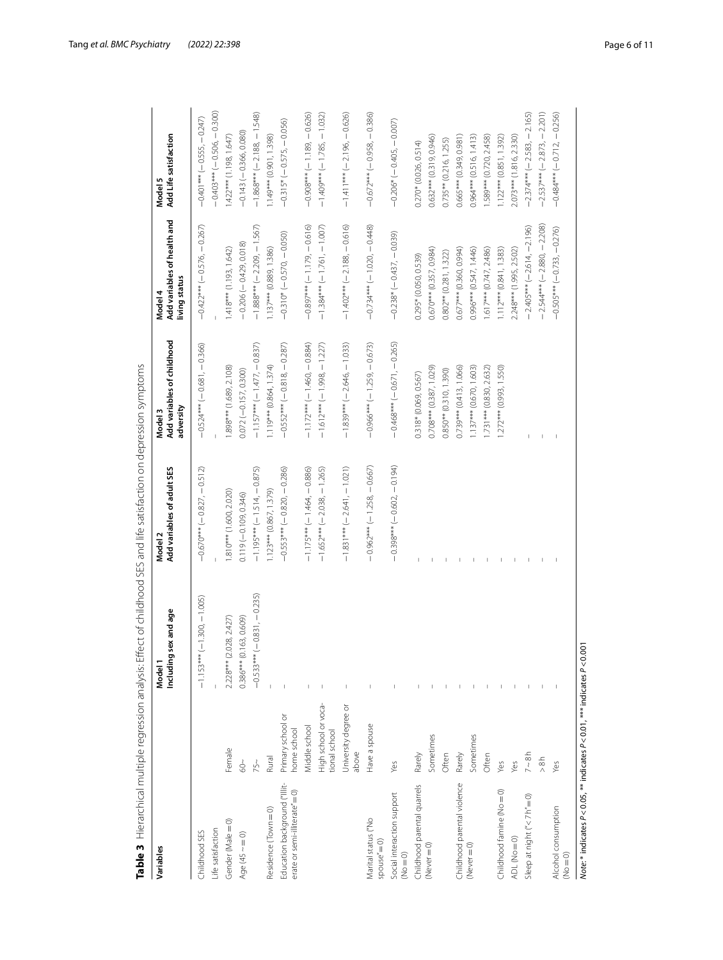| Variables                                                     |                                      | sex and age<br>Including<br>Model 1 | Add variables of adult SES<br>Model <sub>2</sub> | Add variables of childhood<br>adversity<br>Model 3 | Add variables of health and<br>living status<br>Model 4 | Add Life satisfaction<br>Model <sub>5</sub> |
|---------------------------------------------------------------|--------------------------------------|-------------------------------------|--------------------------------------------------|----------------------------------------------------|---------------------------------------------------------|---------------------------------------------|
| Childhood SES                                                 |                                      | $-1.153***(-1.300,-1.005)$          | $-0.670***(-0.827,-0.512)$                       | $-0.524***$ ( $-0.681$ , $-0.366$ )                | $-0.422***(-0.576,-0.267)$                              | $-0.401***(-0.555, -0.247)$                 |
| Life satisfaction                                             |                                      |                                     |                                                  |                                                    |                                                         | $-0.403***$ ( $-0.506, -0.300$ )            |
| Gender (Male = 0)                                             | Female                               | 2.228 *** (2.028, 2.427)            | 1.810 *** (1.600, 2.020)                         | 1.898 *** (1.689, 2.108)                           | 1.418*** (1.193, 1.642)                                 | $1.422***$ (1.198, 1.647)                   |
| Age $(45 - 0)$                                                | $rac{1}{60}$                         | $0.386***$ (0.163, 0.609)           | $0.119(-0.109, 0.346)$                           | $0.072 (-0.157, 0.300)$                            | $-0.206(-0.429, 0.018)$                                 | $-0.143(-0.366, 0.080)$                     |
|                                                               | 75 <sup>2</sup>                      | $-0.533***$ ( $-0.831$ , $-0.235$ ) | $-1.195***$ (-1.514, -0.875)                     | $-1.157***$ ( $-1.477$ , $-0.837$ )                | $-1.888***(-2.209,-1.567)$                              | $-1.868***$ (-2.188, -1.548)                |
| Residence (Town = 0)                                          | Rural                                |                                     | 1.123*** (0.867, 1.379)                          | $1.119***$ (0.864, 1.374)                          | 1.137*** (0.889, 1.386)                                 | 1.149*** (0.901, 1.398)                     |
| Education background ("Illit-<br>erate or semi-illiterate"=0) | Primary school or<br>home school     |                                     | $-0.553***(-0.820, -0.286)$                      | $-0.552***(-0.818,-0.287)$                         | $-0.310*$ ( $-0.570, -0.050$ )                          | $-0.315*(-0.575, -0.056)$                   |
|                                                               | Middle school                        |                                     | $-1.175***$ ( $-1.464$ , $-0.886$ )              | $-1.172***$ (-1.460, -0.884)                       | $-0.897***(-1.179,-0.616)$                              | $-0.908***(-1.189, -0.626)$                 |
|                                                               | High school or voca-<br>ional school |                                     | $-1.652***$ (-2.038, -1.265)                     | $-1.612***(-1.998,-1.227)$                         | $-1.384***$ (-1.761, -1.007)                            | $-1.409*** (-1.785, -1.032)$                |
|                                                               | University degree or<br>above        |                                     | $-1.831***$ (-2.641, -1.021)                     | $-1.839***$ (-2.646, -1.033)                       | $-1.402***$ (-2.188, -0.616)                            | $-1.411***$ (-2.196, -0.626)                |
| Vlarital status ("No<br>$space' = 0$                          | Have a spouse                        |                                     | $-0.962***(-1.258,-0.667)$                       | $-0.966***$ (-1.259, -0.673)                       | $-0.734***$ (-1.020, -0.448)                            | $-0.672***(-0.958,-0.386)$                  |
| Social interaction support<br>$(No = 0)$                      | Yes                                  |                                     | $-0.398***(-0.602, -0.194)$                      | $-0.468***(-0.671,-0.265)$                         | $-0.238*(-0.437, -0.039)$                               | $-0.206*(-0.405, -0.007)$                   |
| Childhood parental quarrels                                   | Rarely                               |                                     |                                                  | 0.318* (0.069, 0.567)                              | $0.295*(0.050, 0.539)$                                  | $0.270* (0.026, 0.514)$                     |
| (Never $= 0$ )                                                | Sometimes                            |                                     |                                                  | $0.708***$ (0.387, 1.029)                          | $0.670***$ (0.357, 0.984)                               | $0.632***$ (0.319, 0.946)                   |
|                                                               | Often                                |                                     |                                                  | $0.850**$ (0.310, 1.390)                           | $0.802**$ $(0.281, 1.322)$                              | $0.735**$ (0.216, 1.255)                    |
| Childhood parental violence                                   | Rarely                               |                                     |                                                  | $0.739***$ $(0.413, 1.066)$                        | $0.677***$ (0.360, 0.994)                               | $0.665***$ $(0.349, 0.981)$                 |
| $(Never = 0)$                                                 | Sometimes                            |                                     |                                                  | $1.137***$ (0.670, 1.603)                          | $0.996***$ (0.547, 1.446)                               | $0.964***$ (0.516, 1.413)                   |
|                                                               | Often                                |                                     |                                                  | $1.731***$ (0.830, 2.632)                          | $1.617***$ (0.747, 2.486)                               | 1.589*** (0.720, 2.458)                     |
| Childhood famine (No = 0)                                     | Yes                                  |                                     | T                                                | 1.272*** (0.993, 1.550)                            | $1.112***$ (0.841, 1.383)                               | 1.122 *** (0.851, 1.392)                    |
| ADL (No = 0)                                                  | yes                                  |                                     | T                                                |                                                    | 2.248*** (1.995, 2.502)                                 | 2.073*** (1.816, 2.330)                     |
| Sleep at night ("<7h" = 0)                                    | $7-8h$                               |                                     | $\mathsf I$                                      |                                                    | $-2.405***(-2.614,-2.196)$                              | $-2.374***$ ( $-2.583, -2.165$ )            |
|                                                               | > 8 h                                |                                     | $\vert$                                          | I.                                                 | $-2.544***$ (-2.880, -2.208)                            | $-2.537***(-2.873,-2.201)$                  |
| Alcohol consumption<br>$(NO = 0)$                             | Yes                                  |                                     |                                                  | $\mathbf{I}$                                       | $-0.505***(-0.733,-0.276)$                              | $-0.484***(-0.712,-0.256)$                  |

<span id="page-5-0"></span>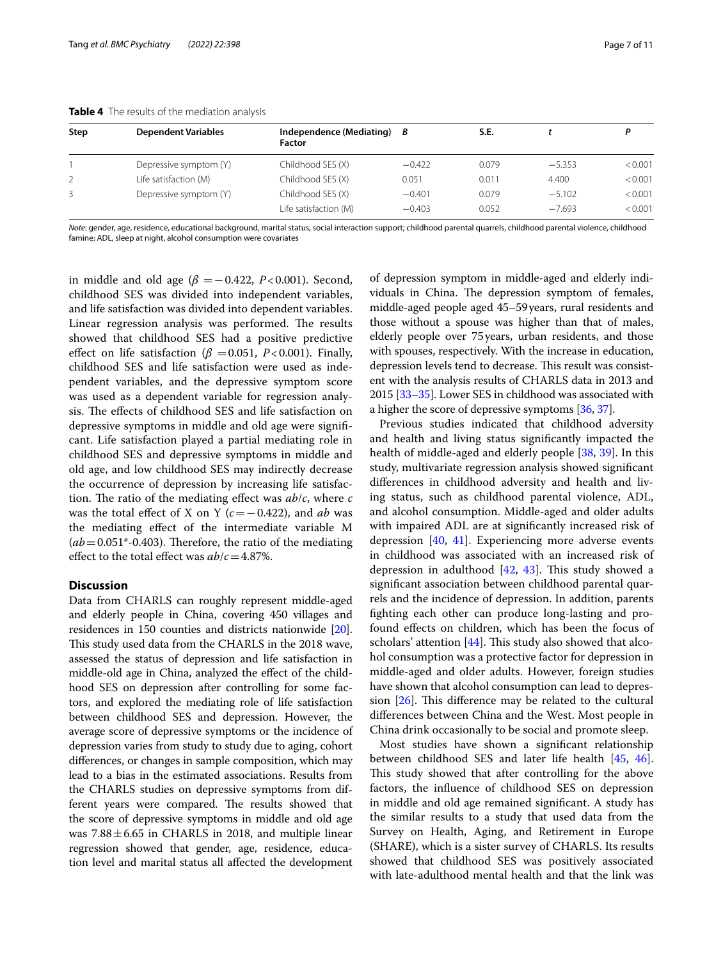| Step | <b>Dependent Variables</b> | Independence (Mediating) B<br><b>Factor</b> |          | S.E.  |          |         |
|------|----------------------------|---------------------------------------------|----------|-------|----------|---------|
|      | Depressive symptom (Y)     | Childhood SES (X)                           | $-0.422$ | 0.079 | $-5.353$ | < 0.001 |
|      | Life satisfaction (M)      | Childhood SES (X)                           | 0.051    | 0.011 | 4.400    | < 0.001 |
|      | Depressive symptom (Y)     | Childhood SES (X)                           | $-0.401$ | 0.079 | $-5.102$ | < 0.001 |
|      |                            | Life satisfaction (M)                       | $-0.403$ | 0.052 | $-7.693$ | < 0.001 |

<span id="page-6-0"></span>**Table 4** The results of the mediation analysis

*Note*: gender, age, residence, educational background, marital status, social interaction support; childhood parental quarrels, childhood parental violence, childhood famine; ADL, sleep at night, alcohol consumption were covariates

in middle and old age  $(\beta = -0.422, P < 0.001)$ . Second, childhood SES was divided into independent variables, and life satisfaction was divided into dependent variables. Linear regression analysis was performed. The results showed that childhood SES had a positive predictive effect on life satisfaction ( $\beta$  =0.051, *P*<0.001). Finally, childhood SES and life satisfaction were used as independent variables, and the depressive symptom score was used as a dependent variable for regression analysis. The effects of childhood SES and life satisfaction on depressive symptoms in middle and old age were signifcant. Life satisfaction played a partial mediating role in childhood SES and depressive symptoms in middle and old age, and low childhood SES may indirectly decrease the occurrence of depression by increasing life satisfaction. The ratio of the mediating effect was  $ab/c$ , where  $c$ was the total efect of X on Y (*c*=−0.422), and *ab* was the mediating efect of the intermediate variable M  $(ab=0.051*-0.403)$ . Therefore, the ratio of the mediating effect to the total effect was  $ab/c = 4.87\%$ .

# **Discussion**

Data from CHARLS can roughly represent middle-aged and elderly people in China, covering 450 villages and residences in 150 counties and districts nationwide [[20](#page-9-2)]. This study used data from the CHARLS in the 2018 wave, assessed the status of depression and life satisfaction in middle-old age in China, analyzed the efect of the childhood SES on depression after controlling for some factors, and explored the mediating role of life satisfaction between childhood SES and depression. However, the average score of depressive symptoms or the incidence of depression varies from study to study due to aging, cohort diferences, or changes in sample composition, which may lead to a bias in the estimated associations. Results from the CHARLS studies on depressive symptoms from different years were compared. The results showed that the score of depressive symptoms in middle and old age was  $7.88 \pm 6.65$  in CHARLS in 2018, and multiple linear regression showed that gender, age, residence, education level and marital status all afected the development of depression symptom in middle-aged and elderly individuals in China. The depression symptom of females, middle-aged people aged 45–59years, rural residents and those without a spouse was higher than that of males, elderly people over 75years, urban residents, and those with spouses, respectively. With the increase in education, depression levels tend to decrease. This result was consistent with the analysis results of CHARLS data in 2013 and 2015 [\[33–](#page-9-15)[35](#page-9-16)]. Lower SES in childhood was associated with a higher the score of depressive symptoms [\[36,](#page-9-17) [37\]](#page-9-18).

Previous studies indicated that childhood adversity and health and living status signifcantly impacted the health of middle-aged and elderly people [\[38](#page-9-19), [39\]](#page-9-20). In this study, multivariate regression analysis showed signifcant diferences in childhood adversity and health and living status, such as childhood parental violence, ADL, and alcohol consumption. Middle-aged and older adults with impaired ADL are at signifcantly increased risk of depression [[40](#page-9-21), [41\]](#page-9-22). Experiencing more adverse events in childhood was associated with an increased risk of depression in adulthood  $[42, 43]$  $[42, 43]$  $[42, 43]$  $[42, 43]$  $[42, 43]$ . This study showed a signifcant association between childhood parental quarrels and the incidence of depression. In addition, parents fghting each other can produce long-lasting and profound efects on children, which has been the focus of scholars' attention  $[44]$  $[44]$ . This study also showed that alcohol consumption was a protective factor for depression in middle-aged and older adults. However, foreign studies have shown that alcohol consumption can lead to depression  $[26]$  $[26]$  $[26]$ . This difference may be related to the cultural diferences between China and the West. Most people in China drink occasionally to be social and promote sleep.

Most studies have shown a signifcant relationship between childhood SES and later life health [\[45](#page-9-26), [46](#page-9-27)]. This study showed that after controlling for the above factors, the infuence of childhood SES on depression in middle and old age remained signifcant. A study has the similar results to a study that used data from the Survey on Health, Aging, and Retirement in Europe (SHARE), which is a sister survey of CHARLS. Its results showed that childhood SES was positively associated with late-adulthood mental health and that the link was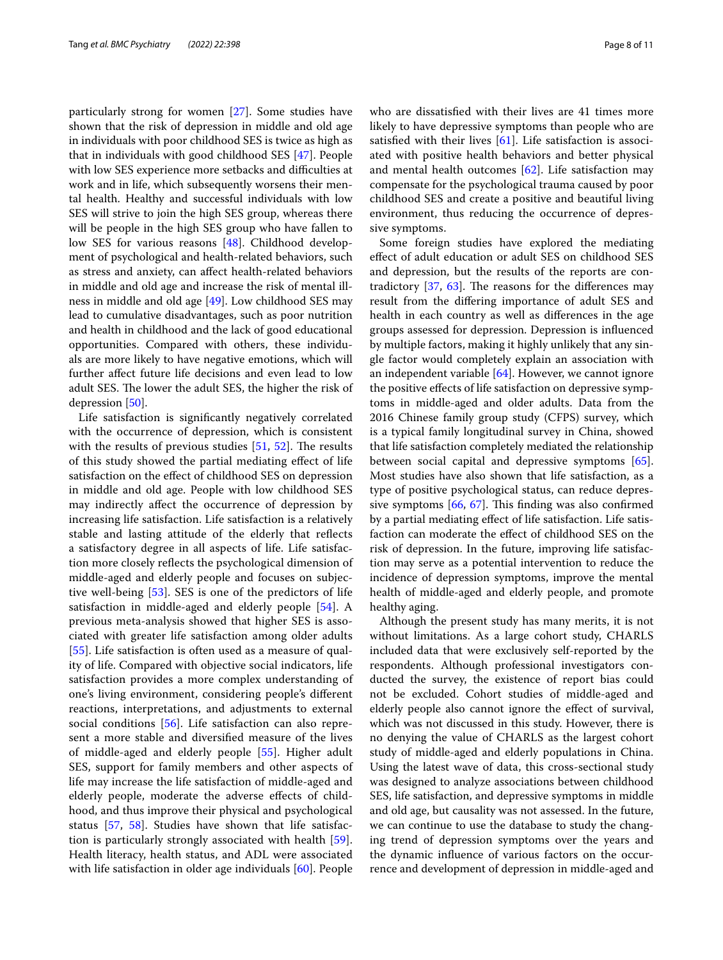particularly strong for women [\[27](#page-9-9)]. Some studies have shown that the risk of depression in middle and old age in individuals with poor childhood SES is twice as high as that in individuals with good childhood SES [\[47\]](#page-9-28). People with low SES experience more setbacks and difficulties at work and in life, which subsequently worsens their mental health. Healthy and successful individuals with low SES will strive to join the high SES group, whereas there will be people in the high SES group who have fallen to low SES for various reasons [[48](#page-9-29)]. Childhood development of psychological and health-related behaviors, such as stress and anxiety, can afect health-related behaviors in middle and old age and increase the risk of mental illness in middle and old age [\[49](#page-9-30)]. Low childhood SES may lead to cumulative disadvantages, such as poor nutrition and health in childhood and the lack of good educational opportunities. Compared with others, these individuals are more likely to have negative emotions, which will further afect future life decisions and even lead to low adult SES. The lower the adult SES, the higher the risk of depression [\[50](#page-9-31)].

Life satisfaction is signifcantly negatively correlated with the occurrence of depression, which is consistent with the results of previous studies  $[51, 52]$  $[51, 52]$  $[51, 52]$  $[51, 52]$ . The results of this study showed the partial mediating efect of life satisfaction on the efect of childhood SES on depression in middle and old age. People with low childhood SES may indirectly afect the occurrence of depression by increasing life satisfaction. Life satisfaction is a relatively stable and lasting attitude of the elderly that refects a satisfactory degree in all aspects of life. Life satisfaction more closely refects the psychological dimension of middle-aged and elderly people and focuses on subjective well-being [[53\]](#page-9-34). SES is one of the predictors of life satisfaction in middle-aged and elderly people [[54\]](#page-9-35). A previous meta-analysis showed that higher SES is associated with greater life satisfaction among older adults [[55\]](#page-9-36). Life satisfaction is often used as a measure of quality of life. Compared with objective social indicators, life satisfaction provides a more complex understanding of one's living environment, considering people's diferent reactions, interpretations, and adjustments to external social conditions [\[56](#page-9-37)]. Life satisfaction can also represent a more stable and diversifed measure of the lives of middle-aged and elderly people [\[55](#page-9-36)]. Higher adult SES, support for family members and other aspects of life may increase the life satisfaction of middle-aged and elderly people, moderate the adverse efects of childhood, and thus improve their physical and psychological status [\[57](#page-10-0), [58](#page-10-1)]. Studies have shown that life satisfaction is particularly strongly associated with health [\[59](#page-10-2)]. Health literacy, health status, and ADL were associated with life satisfaction in older age individuals [[60\]](#page-10-3). People who are dissatisfed with their lives are 41 times more likely to have depressive symptoms than people who are satisfied with their lives  $[61]$  $[61]$ . Life satisfaction is associated with positive health behaviors and better physical and mental health outcomes [\[62](#page-10-5)]. Life satisfaction may compensate for the psychological trauma caused by poor childhood SES and create a positive and beautiful living environment, thus reducing the occurrence of depressive symptoms.

Some foreign studies have explored the mediating efect of adult education or adult SES on childhood SES and depression, but the results of the reports are contradictory  $[37, 63]$  $[37, 63]$  $[37, 63]$  $[37, 63]$ . The reasons for the differences may result from the difering importance of adult SES and health in each country as well as diferences in the age groups assessed for depression. Depression is infuenced by multiple factors, making it highly unlikely that any single factor would completely explain an association with an independent variable [\[64\]](#page-10-7). However, we cannot ignore the positive efects of life satisfaction on depressive symptoms in middle-aged and older adults. Data from the 2016 Chinese family group study (CFPS) survey, which is a typical family longitudinal survey in China, showed that life satisfaction completely mediated the relationship between social capital and depressive symptoms [\[65](#page-10-8)]. Most studies have also shown that life satisfaction, as a type of positive psychological status, can reduce depressive symptoms  $[66, 67]$  $[66, 67]$  $[66, 67]$  $[66, 67]$  $[66, 67]$ . This finding was also confirmed by a partial mediating efect of life satisfaction. Life satisfaction can moderate the efect of childhood SES on the risk of depression. In the future, improving life satisfaction may serve as a potential intervention to reduce the incidence of depression symptoms, improve the mental health of middle-aged and elderly people, and promote healthy aging.

Although the present study has many merits, it is not without limitations. As a large cohort study, CHARLS included data that were exclusively self-reported by the respondents. Although professional investigators conducted the survey, the existence of report bias could not be excluded. Cohort studies of middle-aged and elderly people also cannot ignore the efect of survival, which was not discussed in this study. However, there is no denying the value of CHARLS as the largest cohort study of middle-aged and elderly populations in China. Using the latest wave of data, this cross-sectional study was designed to analyze associations between childhood SES, life satisfaction, and depressive symptoms in middle and old age, but causality was not assessed. In the future, we can continue to use the database to study the changing trend of depression symptoms over the years and the dynamic infuence of various factors on the occurrence and development of depression in middle-aged and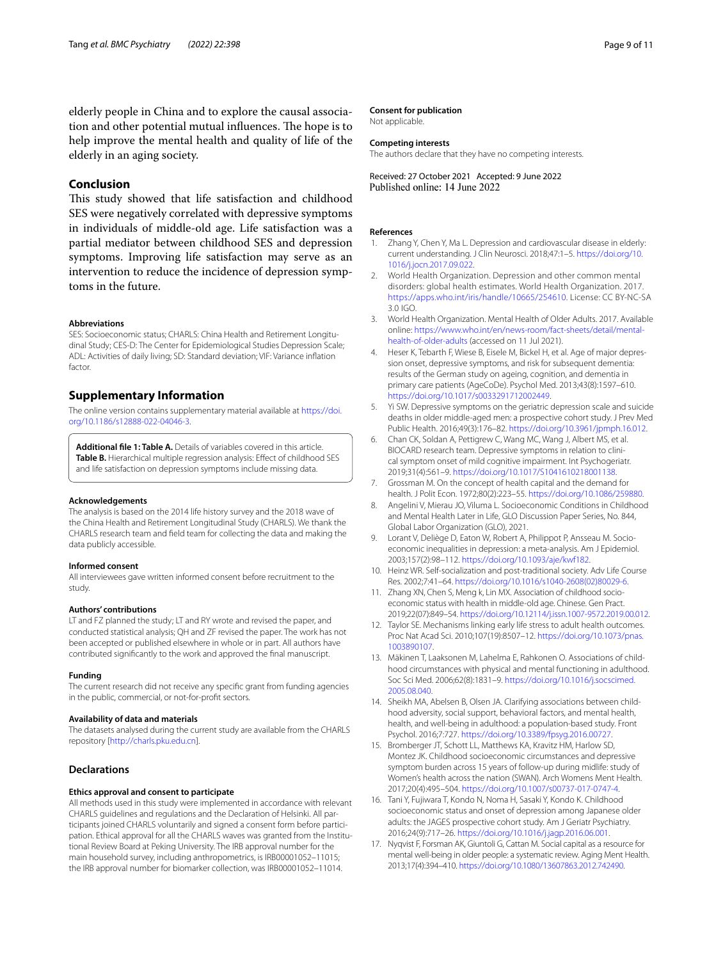elderly people in China and to explore the causal association and other potential mutual influences. The hope is to help improve the mental health and quality of life of the elderly in an aging society.

# **Conclusion**

This study showed that life satisfaction and childhood SES were negatively correlated with depressive symptoms in individuals of middle-old age. Life satisfaction was a partial mediator between childhood SES and depression symptoms. Improving life satisfaction may serve as an intervention to reduce the incidence of depression symptoms in the future.

#### **Abbreviations**

SES: Socioeconomic status; CHARLS: China Health and Retirement Longitudinal Study; CES-D: The Center for Epidemiological Studies Depression Scale; ADL: Activities of daily living; SD: Standard deviation; VIF: Variance infation factor.

# **Supplementary Information**

The online version contains supplementary material available at [https://doi.](https://doi.org/10.1186/s12888-022-04046-3) [org/10.1186/s12888-022-04046-3](https://doi.org/10.1186/s12888-022-04046-3).

<span id="page-8-17"></span>**Additional fle 1: Table A.** Details of variables covered in this article. Table B. Hierarchical multiple regression analysis: Effect of childhood SES and life satisfaction on depression symptoms include missing data.

#### **Acknowledgements**

The analysis is based on the 2014 life history survey and the 2018 wave of the China Health and Retirement Longitudinal Study (CHARLS). We thank the CHARLS research team and feld team for collecting the data and making the data publicly accessible.

#### **Informed consent**

All interviewees gave written informed consent before recruitment to the study.

#### **Authors' contributions**

LT and FZ planned the study; LT and RY wrote and revised the paper, and conducted statistical analysis; QH and ZF revised the paper. The work has not been accepted or published elsewhere in whole or in part. All authors have contributed signifcantly to the work and approved the fnal manuscript.

#### **Funding**

The current research did not receive any specifc grant from funding agencies in the public, commercial, or not-for-proft sectors.

#### **Availability of data and materials**

The datasets analysed during the current study are available from the CHARLS repository [<http://charls.pku.edu.cn>].

## **Declarations**

#### **Ethics approval and consent to participate**

All methods used in this study were implemented in accordance with relevant CHARLS guidelines and regulations and the Declaration of Helsinki. All participants joined CHARLS voluntarily and signed a consent form before participation. Ethical approval for all the CHARLS waves was granted from the Institutional Review Board at Peking University. The IRB approval number for the main household survey, including anthropometrics, is IRB00001052–11015; the IRB approval number for biomarker collection, was IRB00001052–11014.

#### **Consent for publication**

Not applicable.

## **Competing interests**

The authors declare that they have no competing interests.

Received: 27 October 2021 Accepted: 9 June 2022

#### **References**

- <span id="page-8-0"></span>Zhang Y, Chen Y, Ma L. Depression and cardiovascular disease in elderly: current understanding. J Clin Neurosci. 2018;47:1–5. [https://doi.org/10.](https://doi.org/10.1016/j.jocn.2017.09.022) [1016/j.jocn.2017.09.022.](https://doi.org/10.1016/j.jocn.2017.09.022)
- <span id="page-8-1"></span>2. World Health Organization. Depression and other common mental disorders: global health estimates. World Health Organization. 2017. [https://apps.who.int/iris/handle/10665/254610.](https://apps.who.int/iris/handle/10665/254610) License: CC BY-NC-SA 3.0 IGO.
- <span id="page-8-2"></span>3. World Health Organization. Mental Health of Older Adults. 2017. Available online: [https://www.who.int/en/news-room/fact-sheets/detail/mental](https://www.who.int/en/news-room/fact-sheets/detail/mental-health-of-older-adults)[health-of-older-adults](https://www.who.int/en/news-room/fact-sheets/detail/mental-health-of-older-adults) (accessed on 11 Jul 2021).
- <span id="page-8-3"></span>Heser K, Tebarth F, Wiese B, Eisele M, Bickel H, et al. Age of major depression onset, depressive symptoms, and risk for subsequent dementia: results of the German study on ageing, cognition, and dementia in primary care patients (AgeCoDe). Psychol Med. 2013;43(8):1597–610. [https://doi.org/10.1017/s0033291712002449.](https://doi.org/10.1017/s0033291712002449)
- <span id="page-8-4"></span>5. Yi SW. Depressive symptoms on the geriatric depression scale and suicide deaths in older middle-aged men: a prospective cohort study. J Prev Med Public Health. 2016;49(3):176–82.<https://doi.org/10.3961/jpmph.16.012>.
- <span id="page-8-5"></span>6. Chan CK, Soldan A, Pettigrew C, Wang MC, Wang J, Albert MS, et al. BIOCARD research team. Depressive symptoms in relation to clinical symptom onset of mild cognitive impairment. Int Psychogeriatr. 2019;31(4):561–9.<https://doi.org/10.1017/S1041610218001138>.
- <span id="page-8-6"></span>7. Grossman M. On the concept of health capital and the demand for health. J Polit Econ. 1972;80(2):223–55. <https://doi.org/10.1086/259880>.
- <span id="page-8-7"></span>8. Angelini V, Mierau JO, Viluma L. Socioeconomic Conditions in Childhood and Mental Health Later in Life, GLO Discussion Paper Series, No. 844, Global Labor Organization (GLO), 2021.
- <span id="page-8-8"></span>9. Lorant V, Deliège D, Eaton W, Robert A, Philippot P, Ansseau M. Socioeconomic inequalities in depression: a meta-analysis. Am J Epidemiol. 2003;157(2):98–112. <https://doi.org/10.1093/aje/kwf182>.
- <span id="page-8-9"></span>10. Heinz WR. Self-socialization and post-traditional society. Adv Life Course Res. 2002;7:41–64. [https://doi.org/10.1016/s1040-2608\(02\)80029-6.](https://doi.org/10.1016/s1040-2608(02)80029-6)
- <span id="page-8-10"></span>11. Zhang XN, Chen S, Meng k, Lin MX. Association of childhood socioeconomic status with health in middle-old age. Chinese. Gen Pract. 2019;22(07):849–54.<https://doi.org/10.12114/j.issn.1007-9572.2019.00.012>.
- <span id="page-8-11"></span>12. Taylor SE. Mechanisms linking early life stress to adult health outcomes. Proc Nat Acad Sci. 2010;107(19):8507–12. [https://doi.org/10.1073/pnas.](https://doi.org/10.1073/pnas.1003890107) [1003890107](https://doi.org/10.1073/pnas.1003890107).
- <span id="page-8-12"></span>13. Mäkinen T, Laaksonen M, Lahelma E, Rahkonen O. Associations of childhood circumstances with physical and mental functioning in adulthood. Soc Sci Med. 2006;62(8):1831–9. [https://doi.org/10.1016/j.socscimed.](https://doi.org/10.1016/j.socscimed.2005.08.040) [2005.08.040](https://doi.org/10.1016/j.socscimed.2005.08.040).
- <span id="page-8-13"></span>14. Sheikh MA, Abelsen B, Olsen JA. Clarifying associations between childhood adversity, social support, behavioral factors, and mental health, health, and well-being in adulthood: a population-based study. Front Psychol. 2016;7:727. [https://doi.org/10.3389/fpsyg.2016.00727.](https://doi.org/10.3389/fpsyg.2016.00727)
- <span id="page-8-14"></span>15. Bromberger JT, Schott LL, Matthews KA, Kravitz HM, Harlow SD, Montez JK. Childhood socioeconomic circumstances and depressive symptom burden across 15 years of follow-up during midlife: study of Women's health across the nation (SWAN). Arch Womens Ment Health. 2017;20(4):495–504. [https://doi.org/10.1007/s00737-017-0747-4.](https://doi.org/10.1007/s00737-017-0747-4)
- <span id="page-8-15"></span>16. Tani Y, Fujiwara T, Kondo N, Noma H, Sasaki Y, Kondo K. Childhood socioeconomic status and onset of depression among Japanese older adults: the JAGES prospective cohort study. Am J Geriatr Psychiatry. 2016;24(9):717–26. <https://doi.org/10.1016/j.jagp.2016.06.001>.
- <span id="page-8-16"></span>17. Nyqvist F, Forsman AK, Giuntoli G, Cattan M. Social capital as a resource for mental well-being in older people: a systematic review. Aging Ment Health. 2013;17(4):394–410. [https://doi.org/10.1080/13607863.2012.742490.](https://doi.org/10.1080/13607863.2012.742490)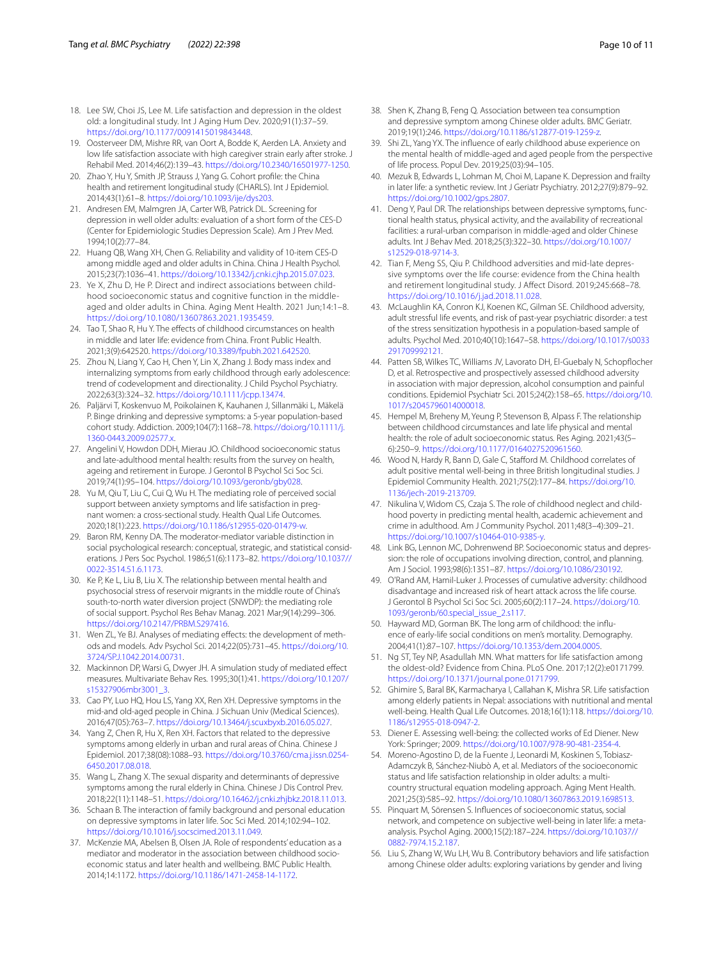- <span id="page-9-0"></span>18. Lee SW, Choi JS, Lee M. Life satisfaction and depression in the oldest old: a longitudinal study. Int J Aging Hum Dev. 2020;91(1):37–59. [https://doi.org/10.1177/0091415019843448.](https://doi.org/10.1177/0091415019843448)
- <span id="page-9-1"></span>19. Oosterveer DM, Mishre RR, van Oort A, Bodde K, Aerden LA. Anxiety and low life satisfaction associate with high caregiver strain early after stroke. J Rehabil Med. 2014;46(2):139–43.<https://doi.org/10.2340/16501977-1250>.
- <span id="page-9-2"></span>20. Zhao Y, Hu Y, Smith JP, Strauss J, Yang G. Cohort profle: the China health and retirement longitudinal study (CHARLS). Int J Epidemiol. 2014;43(1):61–8. <https://doi.org/10.1093/ije/dys203>.
- <span id="page-9-3"></span>21. Andresen EM, Malmgren JA, Carter WB, Patrick DL. Screening for depression in well older adults: evaluation of a short form of the CES-D (Center for Epidemiologic Studies Depression Scale). Am J Prev Med. 1994;10(2):77–84.
- <span id="page-9-4"></span>22. Huang QB, Wang XH, Chen G. Reliability and validity of 10-item CES-D among middle aged and older adults in China. China J Health Psychol. 2015;23(7):1036–41. <https://doi.org/10.13342/j.cnki.cjhp.2015.07.023>.
- <span id="page-9-5"></span>23. Ye X, Zhu D, He P. Direct and indirect associations between childhood socioeconomic status and cognitive function in the middleaged and older adults in China. Aging Ment Health. 2021 Jun;14:1–8. <https://doi.org/10.1080/13607863.2021.1935459>.
- <span id="page-9-6"></span>24. Tao T, Shao R, Hu Y. The effects of childhood circumstances on health in middle and later life: evidence from China. Front Public Health. 2021;3(9):642520.<https://doi.org/10.3389/fpubh.2021.642520>.
- <span id="page-9-7"></span>25. Zhou N, Liang Y, Cao H, Chen Y, Lin X, Zhang J. Body mass index and internalizing symptoms from early childhood through early adolescence: trend of codevelopment and directionality. J Child Psychol Psychiatry. 2022;63(3):324–32. <https://doi.org/10.1111/jcpp.13474>.
- <span id="page-9-8"></span>26. Paljärvi T, Koskenvuo M, Poikolainen K, Kauhanen J, Sillanmäki L, Mäkelä P. Binge drinking and depressive symptoms: a 5-year population-based cohort study. Addiction. 2009;104(7):1168–78. [https://doi.org/10.1111/j.](https://doi.org/10.1111/j.1360-0443.2009.02577.x) [1360-0443.2009.02577.x](https://doi.org/10.1111/j.1360-0443.2009.02577.x).
- <span id="page-9-9"></span>27. Angelini V, Howdon DDH, Mierau JO. Childhood socioeconomic status and late-adulthood mental health: results from the survey on health, ageing and retirement in Europe. J Gerontol B Psychol Sci Soc Sci. 2019;74(1):95–104. [https://doi.org/10.1093/geronb/gby028.](https://doi.org/10.1093/geronb/gby028)
- <span id="page-9-10"></span>28. Yu M, Qiu T, Liu C, Cui Q, Wu H. The mediating role of perceived social support between anxiety symptoms and life satisfaction in pregnant women: a cross-sectional study. Health Qual Life Outcomes. 2020;18(1):223. [https://doi.org/10.1186/s12955-020-01479-w.](https://doi.org/10.1186/s12955-020-01479-w)
- <span id="page-9-11"></span>29. Baron RM, Kenny DA. The moderator-mediator variable distinction in social psychological research: conceptual, strategic, and statistical considerations. J Pers Soc Psychol. 1986;51(6):1173–82. [https://doi.org/10.1037//](https://doi.org/10.1037//0022-3514.51.6.1173) [0022-3514.51.6.1173.](https://doi.org/10.1037//0022-3514.51.6.1173)
- <span id="page-9-12"></span>30. Ke P, Ke L, Liu B, Liu X. The relationship between mental health and psychosocial stress of reservoir migrants in the middle route of China's south-to-north water diversion project (SNWDP): the mediating role of social support. Psychol Res Behav Manag. 2021 Mar;9(14):299–306. <https://doi.org/10.2147/PRBM.S297416>.
- <span id="page-9-13"></span>31. Wen ZL, Ye BJ. Analyses of mediating effects: the development of methods and models. Adv Psychol Sci. 2014;22(05):731–45. [https://doi.org/10.](https://doi.org/10.3724/SP.J.1042.2014.00731) [3724/SP.J.1042.2014.00731](https://doi.org/10.3724/SP.J.1042.2014.00731).
- <span id="page-9-14"></span>32. Mackinnon DP, Warsi G, Dwyer JH. A simulation study of mediated efect measures. Multivariate Behav Res. 1995;30(1):41. [https://doi.org/10.1207/](https://doi.org/10.1207/s15327906mbr3001_3) [s15327906mbr3001\\_3](https://doi.org/10.1207/s15327906mbr3001_3).
- <span id="page-9-15"></span>33. Cao PY, Luo HQ, Hou LS, Yang XX, Ren XH. Depressive symptoms in the mid-and old-aged people in China. J Sichuan Univ (Medical Sciences). 2016;47(05):763–7. <https://doi.org/10.13464/j.scuxbyxb.2016.05.027>.
- 34. Yang Z, Chen R, Hu X, Ren XH. Factors that related to the depressive symptoms among elderly in urban and rural areas of China. Chinese J Epidemiol. 2017;38(08):1088–93. [https://doi.org/10.3760/cma.j.issn.0254-](https://doi.org/10.3760/cma.j.issn.0254-6450.2017.08.018) [6450.2017.08.018](https://doi.org/10.3760/cma.j.issn.0254-6450.2017.08.018).
- <span id="page-9-16"></span>35. Wang L, Zhang X. The sexual disparity and determinants of depressive symptoms among the rural elderly in China. Chinese J Dis Control Prev. 2018;22(11):1148–51. [https://doi.org/10.16462/j.cnki.zhjbkz.2018.11.013.](https://doi.org/10.16462/j.cnki.zhjbkz.2018.11.013)
- <span id="page-9-17"></span>36. Schaan B. The interaction of family background and personal education on depressive symptoms in later life. Soc Sci Med. 2014;102:94–102. [https://doi.org/10.1016/j.socscimed.2013.11.049.](https://doi.org/10.1016/j.socscimed.2013.11.049)
- <span id="page-9-18"></span>37. McKenzie MA, Abelsen B, Olsen JA. Role of respondents' education as a mediator and moderator in the association between childhood socioeconomic status and later health and wellbeing. BMC Public Health. 2014;14:1172. [https://doi.org/10.1186/1471-2458-14-1172.](https://doi.org/10.1186/1471-2458-14-1172)
- <span id="page-9-19"></span>38. Shen K, Zhang B, Feng Q. Association between tea consumption and depressive symptom among Chinese older adults. BMC Geriatr. 2019;19(1):246. <https://doi.org/10.1186/s12877-019-1259-z>.
- <span id="page-9-20"></span>39. Shi ZL, Yang YX. The infuence of early childhood abuse experience on the mental health of middle-aged and aged people from the perspective of life process. Popul Dev. 2019;25(03):94–105.
- <span id="page-9-21"></span>40. Mezuk B, Edwards L, Lohman M, Choi M, Lapane K. Depression and frailty in later life: a synthetic review. Int J Geriatr Psychiatry. 2012;27(9):879–92. <https://doi.org/10.1002/gps.2807>.
- <span id="page-9-22"></span>41. Deng Y, Paul DR. The relationships between depressive symptoms, functional health status, physical activity, and the availability of recreational facilities: a rural-urban comparison in middle-aged and older Chinese adults. Int J Behav Med. 2018;25(3):322–30. [https://doi.org/10.1007/](https://doi.org/10.1007/s12529-018-9714-3) [s12529-018-9714-3.](https://doi.org/10.1007/s12529-018-9714-3)
- <span id="page-9-23"></span>42. Tian F, Meng SS, Qiu P. Childhood adversities and mid-late depressive symptoms over the life course: evidence from the China health and retirement longitudinal study. J Afect Disord. 2019;245:668–78. [https://doi.org/10.1016/j.jad.2018.11.028.](https://doi.org/10.1016/j.jad.2018.11.028)
- <span id="page-9-24"></span>43. McLaughlin KA, Conron KJ, Koenen KC, Gilman SE. Childhood adversity, adult stressful life events, and risk of past-year psychiatric disorder: a test of the stress sensitization hypothesis in a population-based sample of adults. Psychol Med. 2010;40(10):1647–58. [https://doi.org/10.1017/s0033](https://doi.org/10.1017/s0033291709992121) [291709992121.](https://doi.org/10.1017/s0033291709992121)
- <span id="page-9-25"></span>44. Patten SB, Wilkes TC, Williams JV, Lavorato DH, El-Guebaly N, Schopfocher D, et al. Retrospective and prospectively assessed childhood adversity in association with major depression, alcohol consumption and painful conditions. Epidemiol Psychiatr Sci. 2015;24(2):158–65. [https://doi.org/10.](https://doi.org/10.1017/s2045796014000018) [1017/s2045796014000018](https://doi.org/10.1017/s2045796014000018).
- <span id="page-9-26"></span>45. Hempel M, Breheny M, Yeung P, Stevenson B, Alpass F. The relationship between childhood circumstances and late life physical and mental health: the role of adult socioeconomic status. Res Aging. 2021;43(5– 6):250–9.<https://doi.org/10.1177/0164027520961560>.
- <span id="page-9-27"></span>46. Wood N, Hardy R, Bann D, Gale C, Stafford M. Childhood correlates of adult positive mental well-being in three British longitudinal studies. J Epidemiol Community Health. 2021;75(2):177–84. [https://doi.org/10.](https://doi.org/10.1136/jech-2019-213709) [1136/jech-2019-213709.](https://doi.org/10.1136/jech-2019-213709)
- <span id="page-9-28"></span>47. Nikulina V, Widom CS, Czaja S. The role of childhood neglect and childhood poverty in predicting mental health, academic achievement and crime in adulthood. Am J Community Psychol. 2011;48(3–4):309–21. [https://doi.org/10.1007/s10464-010-9385-y.](https://doi.org/10.1007/s10464-010-9385-y)
- <span id="page-9-29"></span>48. Link BG, Lennon MC, Dohrenwend BP. Socioeconomic status and depression: the role of occupations involving direction, control, and planning. Am J Sociol. 1993;98(6):1351–87. [https://doi.org/10.1086/230192.](https://doi.org/10.1086/230192)
- <span id="page-9-30"></span>49. O'Rand AM, Hamil-Luker J. Processes of cumulative adversity: childhood disadvantage and increased risk of heart attack across the life course. J Gerontol B Psychol Sci Soc Sci. 2005;60(2):117–24. [https://doi.org/10.](https://doi.org/10.1093/geronb/60.special_issue_2.s117) [1093/geronb/60.special\\_issue\\_2.s117.](https://doi.org/10.1093/geronb/60.special_issue_2.s117)
- <span id="page-9-31"></span>50. Hayward MD, Gorman BK. The long arm of childhood: the infuence of early-life social conditions on men's mortality. Demography. 2004;41(1):87–107. [https://doi.org/10.1353/dem.2004.0005.](https://doi.org/10.1353/dem.2004.0005)
- <span id="page-9-32"></span>51. Ng ST, Tey NP, Asadullah MN. What matters for life satisfaction among the oldest-old? Evidence from China. PLoS One. 2017;12(2):e0171799. [https://doi.org/10.1371/journal.pone.0171799.](https://doi.org/10.1371/journal.pone.0171799)
- <span id="page-9-33"></span>52. Ghimire S, Baral BK, Karmacharya I, Callahan K, Mishra SR. Life satisfaction among elderly patients in Nepal: associations with nutritional and mental well-being. Health Qual Life Outcomes. 2018;16(1):118. [https://doi.org/10.](https://doi.org/10.1186/s12955-018-0947-2) [1186/s12955-018-0947-2](https://doi.org/10.1186/s12955-018-0947-2).
- <span id="page-9-34"></span>53. Diener E. Assessing well-being: the collected works of Ed Diener. New York: Springer; 2009. <https://doi.org/10.1007/978-90-481-2354-4>.
- <span id="page-9-35"></span>54. Moreno-Agostino D, de la Fuente J, Leonardi M, Koskinen S, Tobiasz-Adamczyk B, Sánchez-Niubò A, et al. Mediators of the socioeconomic status and life satisfaction relationship in older adults: a multicountry structural equation modeling approach. Aging Ment Health. 2021;25(3):585–92. [https://doi.org/10.1080/13607863.2019.1698513.](https://doi.org/10.1080/13607863.2019.1698513)
- <span id="page-9-36"></span>55. Pinquart M, Sörensen S. Infuences of socioeconomic status, social network, and competence on subjective well-being in later life: a metaanalysis. Psychol Aging. 2000;15(2):187–224. [https://doi.org/10.1037//](https://doi.org/10.1037//0882-7974.15.2.187) [0882-7974.15.2.187](https://doi.org/10.1037//0882-7974.15.2.187).
- <span id="page-9-37"></span>56. Liu S, Zhang W, Wu LH, Wu B. Contributory behaviors and life satisfaction among Chinese older adults: exploring variations by gender and living